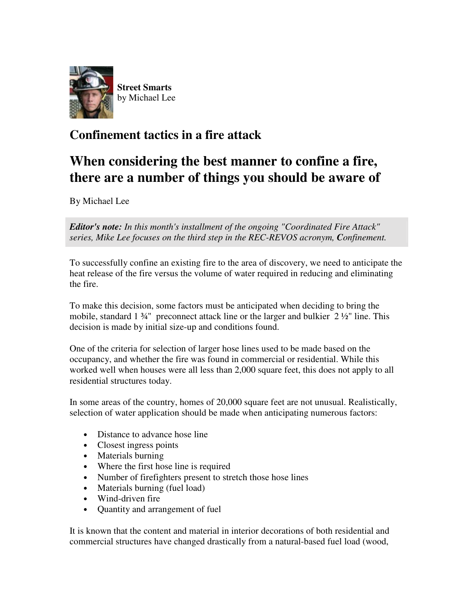

## **Confinement tactics in a fire attack**

## **When considering the best manner to confine a fire, there are a number of things you should be aware of**

By Michael Lee

*Editor's note: In this month's installment of the ongoing "Coordinated Fire Attack" series, Mike Lee focuses on the third step in the REC-REVOS acronym, Confinement.*

To successfully confine an existing fire to the area of discovery, we need to anticipate the heat release of the fire versus the volume of water required in reducing and eliminating the fire.

To make this decision, some factors must be anticipated when deciding to bring the mobile, standard  $1\frac{3}{4}$ " preconnect attack line or the larger and bulkier  $2\frac{1}{2}$ " line. This decision is made by initial size-up and conditions found.

One of the criteria for selection of larger hose lines used to be made based on the occupancy, and whether the fire was found in commercial or residential. While this worked well when houses were all less than 2,000 square feet, this does not apply to all residential structures today.

In some areas of the country, homes of 20,000 square feet are not unusual. Realistically, selection of water application should be made when anticipating numerous factors:

- Distance to advance hose line
- Closest ingress points
- Materials burning
- Where the first hose line is required
- Number of firefighters present to stretch those hose lines
- Materials burning (fuel load)
- Wind-driven fire
- Quantity and arrangement of fuel

It is known that the content and material in interior decorations of both residential and commercial structures have changed drastically from a natural-based fuel load (wood,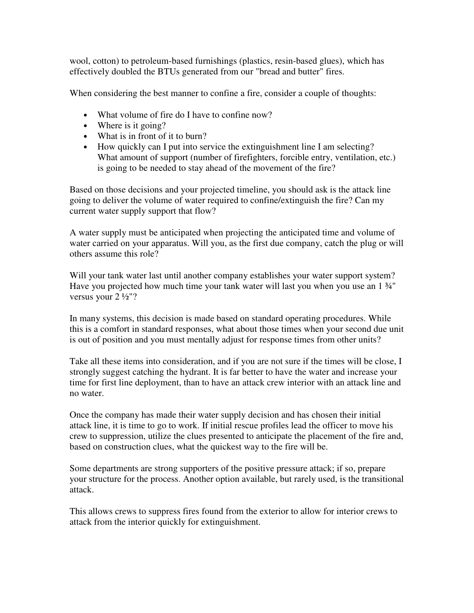wool, cotton) to petroleum-based furnishings (plastics, resin-based glues), which has effectively doubled the BTUs generated from our "bread and butter" fires.

When considering the best manner to confine a fire, consider a couple of thoughts:

- What volume of fire do I have to confine now?
- Where is it going?
- What is in front of it to burn?
- How quickly can I put into service the extinguishment line I am selecting? What amount of support (number of firefighters, forcible entry, ventilation, etc.) is going to be needed to stay ahead of the movement of the fire?

Based on those decisions and your projected timeline, you should ask is the attack line going to deliver the volume of water required to confine/extinguish the fire? Can my current water supply support that flow?

A water supply must be anticipated when projecting the anticipated time and volume of water carried on your apparatus. Will you, as the first due company, catch the plug or will others assume this role?

Will your tank water last until another company establishes your water support system? Have you projected how much time your tank water will last you when you use an 1  $\frac{3}{4}$ " versus your 2 ½"?

In many systems, this decision is made based on standard operating procedures. While this is a comfort in standard responses, what about those times when your second due unit is out of position and you must mentally adjust for response times from other units?

Take all these items into consideration, and if you are not sure if the times will be close, I strongly suggest catching the hydrant. It is far better to have the water and increase your time for first line deployment, than to have an attack crew interior with an attack line and no water.

Once the company has made their water supply decision and has chosen their initial attack line, it is time to go to work. If initial rescue profiles lead the officer to move his crew to suppression, utilize the clues presented to anticipate the placement of the fire and, based on construction clues, what the quickest way to the fire will be.

Some departments are strong supporters of the positive pressure attack; if so, prepare your structure for the process. Another option available, but rarely used, is the transitional attack.

This allows crews to suppress fires found from the exterior to allow for interior crews to attack from the interior quickly for extinguishment.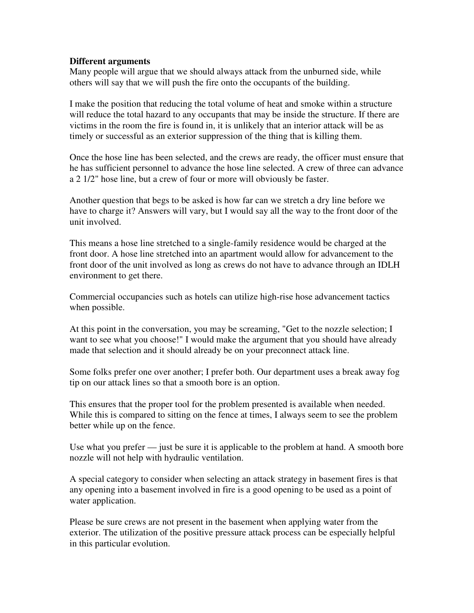## **Different arguments**

Many people will argue that we should always attack from the unburned side, while others will say that we will push the fire onto the occupants of the building.

I make the position that reducing the total volume of heat and smoke within a structure will reduce the total hazard to any occupants that may be inside the structure. If there are victims in the room the fire is found in, it is unlikely that an interior attack will be as timely or successful as an exterior suppression of the thing that is killing them.

Once the hose line has been selected, and the crews are ready, the officer must ensure that he has sufficient personnel to advance the hose line selected. A crew of three can advance a 2 1/2" hose line, but a crew of four or more will obviously be faster.

Another question that begs to be asked is how far can we stretch a dry line before we have to charge it? Answers will vary, but I would say all the way to the front door of the unit involved.

This means a hose line stretched to a single-family residence would be charged at the front door. A hose line stretched into an apartment would allow for advancement to the front door of the unit involved as long as crews do not have to advance through an IDLH environment to get there.

Commercial occupancies such as hotels can utilize high-rise hose advancement tactics when possible.

At this point in the conversation, you may be screaming, "Get to the nozzle selection; I want to see what you choose!" I would make the argument that you should have already made that selection and it should already be on your preconnect attack line.

Some folks prefer one over another; I prefer both. Our department uses a break away fog tip on our attack lines so that a smooth bore is an option.

This ensures that the proper tool for the problem presented is available when needed. While this is compared to sitting on the fence at times, I always seem to see the problem better while up on the fence.

Use what you prefer — just be sure it is applicable to the problem at hand. A smooth bore nozzle will not help with hydraulic ventilation.

A special category to consider when selecting an attack strategy in basement fires is that any opening into a basement involved in fire is a good opening to be used as a point of water application.

Please be sure crews are not present in the basement when applying water from the exterior. The utilization of the positive pressure attack process can be especially helpful in this particular evolution.